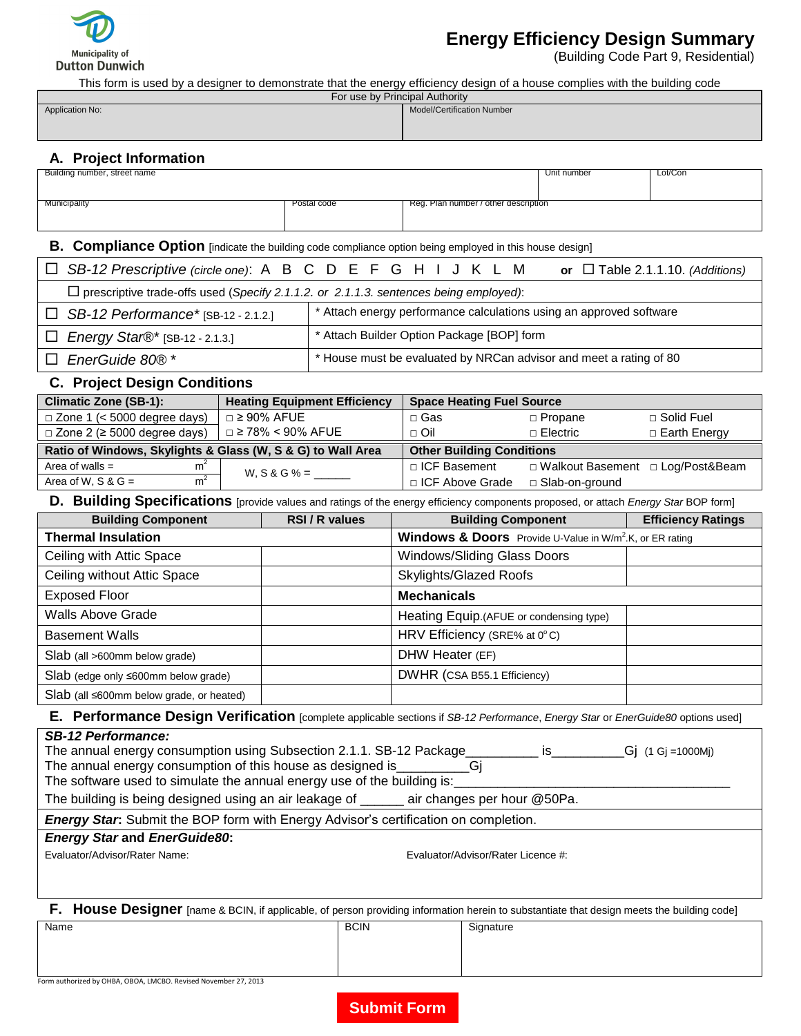

# **Energy Efficiency Design Summary**

(Building Code Part 9, Residential)

This form is used by a designer to demonstrate that the energy efficiency design of a house complies with the building code

| For use by Principal Authority |                                   |  |  |
|--------------------------------|-----------------------------------|--|--|
| Application No:                | <b>Model/Certification Number</b> |  |  |
|                                |                                   |  |  |
|                                |                                   |  |  |
|                                |                                   |  |  |

## **A. Project Information**

| Building number, street name |             |                                      | Unit number | Lot/Con |
|------------------------------|-------------|--------------------------------------|-------------|---------|
|                              |             |                                      |             |         |
| Municipality                 | Postal code | Reg. Plan number / other description |             |         |
|                              |             |                                      |             |         |
|                              |             |                                      |             |         |
|                              |             |                                      |             |         |

## **B. Compliance Option** [indicate the building code compliance option being employed in this house design]

| □ SB-12 Prescriptive (circle one): A B C D E F G H I J K L M                                 | or $\Box$ Table 2.1.1.10. (Additions)                               |  |  |
|----------------------------------------------------------------------------------------------|---------------------------------------------------------------------|--|--|
| $\Box$ prescriptive trade-offs used (Specify 2.1.1.2. or 2.1.1.3. sentences being employed): |                                                                     |  |  |
| $\Box$ SB-12 Performance* [SB-12 - 2.1.2.]                                                   | * Attach energy performance calculations using an approved software |  |  |
| $\Box$ Energy Star®* [SB-12 - 2.1.3.]                                                        | * Attach Builder Option Package [BOP] form                          |  |  |
| $\Box$ EnerGuide 80 $\mathbb{R}^*$                                                           | * House must be evaluated by NRCan advisor and meet a rating of 80  |  |  |

#### **C. Project Design Conditions**

| <b>Climatic Zone (SB-1):</b>                                | <b>Heating Equipment Efficiency</b> | <b>Space Heating Fuel Source</b> |                                    |                     |  |
|-------------------------------------------------------------|-------------------------------------|----------------------------------|------------------------------------|---------------------|--|
| $\Box$ Zone 1 (< 5000 degree days)                          | $\Box$ 2 90% AFUE                   | □ Gas                            | $\Box$ Propane                     | □ Solid Fuel        |  |
| $\Box$ Zone 2 ( $\geq$ 5000 degree days)                    | □ ≥ 78% < 90% AFUE                  | $\Box$ Oil                       | $\Box$ Electric                    | $\Box$ Earth Energy |  |
| Ratio of Windows, Skylights & Glass (W, S & G) to Wall Area | <b>Other Building Conditions</b>    |                                  |                                    |                     |  |
| m <sup>2</sup><br>Area of walls $=$                         | W, S & G % = $\_\_$                 | □ ICF Basement                   | □ Walkout Basement □ Log/Post&Beam |                     |  |
| m <sup>2</sup><br>Area of W. S & $G =$                      |                                     | □ ICF Above Grade                | □ Slab-on-ground                   |                     |  |

**D. Building Specifications** [provide values and ratings of the energy efficiency components proposed, or attach *Energy Star* BOP form]

| <b>Building Component</b>                         | <b>RSI/R values</b> | <b>Building Component</b>                                            | <b>Efficiency Ratings</b> |
|---------------------------------------------------|---------------------|----------------------------------------------------------------------|---------------------------|
| <b>Thermal Insulation</b>                         |                     | Windows & Doors Provide U-Value in W/m <sup>2</sup> .K, or ER rating |                           |
| Ceiling with Attic Space                          |                     | Windows/Sliding Glass Doors                                          |                           |
| Ceiling without Attic Space                       |                     | Skylights/Glazed Roofs                                               |                           |
| <b>Exposed Floor</b>                              |                     | <b>Mechanicals</b>                                                   |                           |
| <b>Walls Above Grade</b>                          |                     | Heating Equip.(AFUE or condensing type)                              |                           |
| <b>Basement Walls</b>                             |                     | HRV Efficiency (SRE% at 0°C)                                         |                           |
| Slab (all >600mm below grade)                     |                     | DHW Heater (EF)                                                      |                           |
| $Slab$ (edge only $\leq 600$ mm below grade)      |                     | DWHR (CSA B55.1 Efficiency)                                          |                           |
| $Slab$ (all $\leq 600$ mm below grade, or heated) |                     |                                                                      |                           |

#### **E. Performance Design Verification** [complete applicable sections if *SB-12 Performance*, *Energy Star* or *EnerGuide80* options used]

#### *SB-12 Performance:*

| The annual energy consumption using Subsection 2.1.1. SB-12 Package     | $-Gj$ (1 Gj =1000Mj) |
|-------------------------------------------------------------------------|----------------------|
| The annual energy consumption of this house as designed is              |                      |
| The software used to simulate the annual energy use of the building is: |                      |

The building is being designed using an air leakage of \_\_\_\_\_\_ air changes per hour @50Pa.

*Energy Star***:** Submit the BOP form with Energy Advisor's certification on completion.

## *Energy Star* **and** *EnerGuide80***:**

Evaluator/Advisor/Rater Name: Evaluator/Advisor/Rater Licence #:

**F. House Designer** [name & BCIN, if applicable, of person providing information herein to substantiate that design meets the building code]

Name BCIN Signature

Form authorized by OHBA, OBOA, LMCBO. Revised November 27, 2013